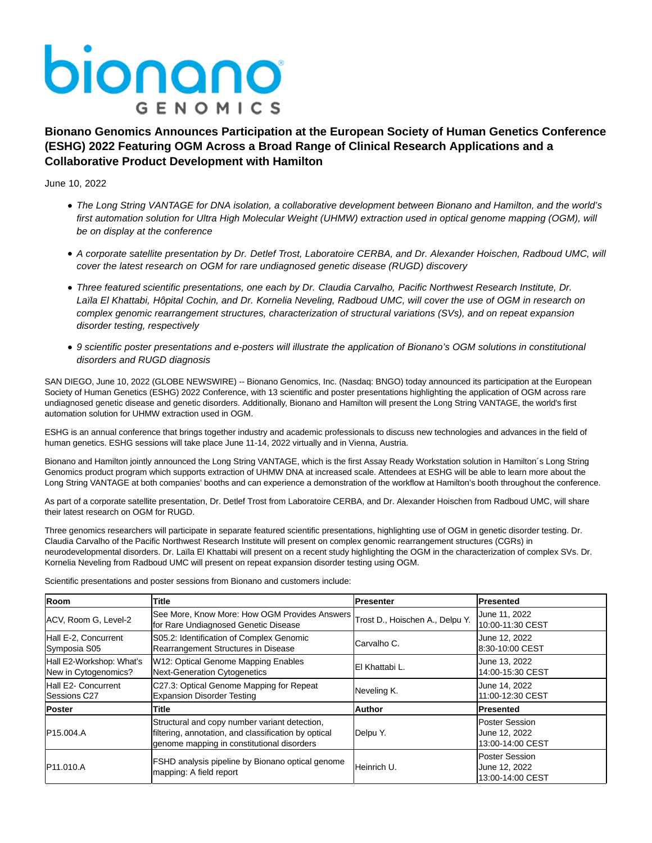## bionano **GENOMICS**

**Bionano Genomics Announces Participation at the European Society of Human Genetics Conference (ESHG) 2022 Featuring OGM Across a Broad Range of Clinical Research Applications and a Collaborative Product Development with Hamilton**

June 10, 2022

- The Long String VANTAGE for DNA isolation, a collaborative development between Bionano and Hamilton, and the world's first automation solution for Ultra High Molecular Weight (UHMW) extraction used in optical genome mapping (OGM), will be on display at the conference
- A corporate satellite presentation by Dr. Detlef Trost, Laboratoire CERBA, and Dr. Alexander Hoischen, Radboud UMC, will cover the latest research on OGM for rare undiagnosed genetic disease (RUGD) discovery
- Three featured scientific presentations, one each by Dr. Claudia Carvalho, Pacific Northwest Research Institute, Dr. Laïla El Khattabi, Hôpital Cochin, and Dr. Kornelia Neveling, Radboud UMC, will cover the use of OGM in research on complex genomic rearrangement structures, characterization of structural variations (SVs), and on repeat expansion disorder testing, respectively
- 9 scientific poster presentations and e-posters will illustrate the application of Bionano's OGM solutions in constitutional disorders and RUGD diagnosis

SAN DIEGO, June 10, 2022 (GLOBE NEWSWIRE) -- Bionano Genomics, Inc. (Nasdaq: BNGO) today announced its participation at the European Society of Human Genetics (ESHG) 2022 Conference, with 13 scientific and poster presentations highlighting the application of OGM across rare undiagnosed genetic disease and genetic disorders. Additionally, Bionano and Hamilton will present the Long String VANTAGE, the world's first automation solution for UHMW extraction used in OGM.

ESHG is an annual conference that brings together industry and academic professionals to discuss new technologies and advances in the field of human genetics. ESHG sessions will take place June 11-14, 2022 virtually and in Vienna, Austria.

Bionano and Hamilton jointly announced the Long String VANTAGE, which is the first Assay Ready Workstation solution in Hamilton´s Long String Genomics product program which supports extraction of UHMW DNA at increased scale. Attendees at ESHG will be able to learn more about the Long String VANTAGE at both companies' booths and can experience a demonstration of the workflow at Hamilton's booth throughout the conference.

As part of a corporate satellite presentation, Dr. Detlef Trost from Laboratoire CERBA, and Dr. Alexander Hoischen from Radboud UMC, will share their latest research on OGM for RUGD.

Three genomics researchers will participate in separate featured scientific presentations, highlighting use of OGM in genetic disorder testing. Dr. Claudia Carvalho of the Pacific Northwest Research Institute will present on complex genomic rearrangement structures (CGRs) in neurodevelopmental disorders. Dr. Laïla El Khattabi will present on a recent study highlighting the OGM in the characterization of complex SVs. Dr. Kornelia Neveling from Radboud UMC will present on repeat expansion disorder testing using OGM.

Scientific presentations and poster sessions from Bionano and customers include:

| <b>Room</b>                                      | <b>Title</b>                                                                                                                                        | <b>Presenter</b> | <b>Presented</b>                                           |
|--------------------------------------------------|-----------------------------------------------------------------------------------------------------------------------------------------------------|------------------|------------------------------------------------------------|
| ACV, Room G, Level-2                             | See More, Know More: How OGM Provides Answers Trost D., Hoischen A., Delpu Y.<br>for Rare Undiagnosed Genetic Disease                               |                  | June 11, 2022<br>10:00-11:30 CEST                          |
| Hall E-2, Concurrent<br>Symposia S05             | S05.2: Identification of Complex Genomic<br>Rearrangement Structures in Disease                                                                     | Carvalho C.      | June 12, 2022<br>8:30-10:00 CEST                           |
| Hall E2-Workshop: What's<br>New in Cytogenomics? | W12: Optical Genome Mapping Enables<br>Next-Generation Cytogenetics                                                                                 | El Khattabi L.   | June 13, 2022<br>14:00-15:30 CEST                          |
| Hall E2- Concurrent<br>Sessions C27              | C27.3: Optical Genome Mapping for Repeat<br><b>Expansion Disorder Testing</b>                                                                       | Neveling K.      | June 14, 2022<br>11:00-12:30 CEST                          |
| <b>Poster</b>                                    | Title                                                                                                                                               | <b>Author</b>    | <b>Presented</b>                                           |
| P <sub>15.004</sub> .A                           | Structural and copy number variant detection,<br>filtering, annotation, and classification by optical<br>genome mapping in constitutional disorders | Delpu Y.         | <b>Poster Session</b><br>June 12, 2022<br>13:00-14:00 CEST |
| <b>IP11.010.A</b>                                | FSHD analysis pipeline by Bionano optical genome<br>mapping: A field report                                                                         | Heinrich U.      | <b>Poster Session</b><br>June 12, 2022<br>13:00-14:00 CEST |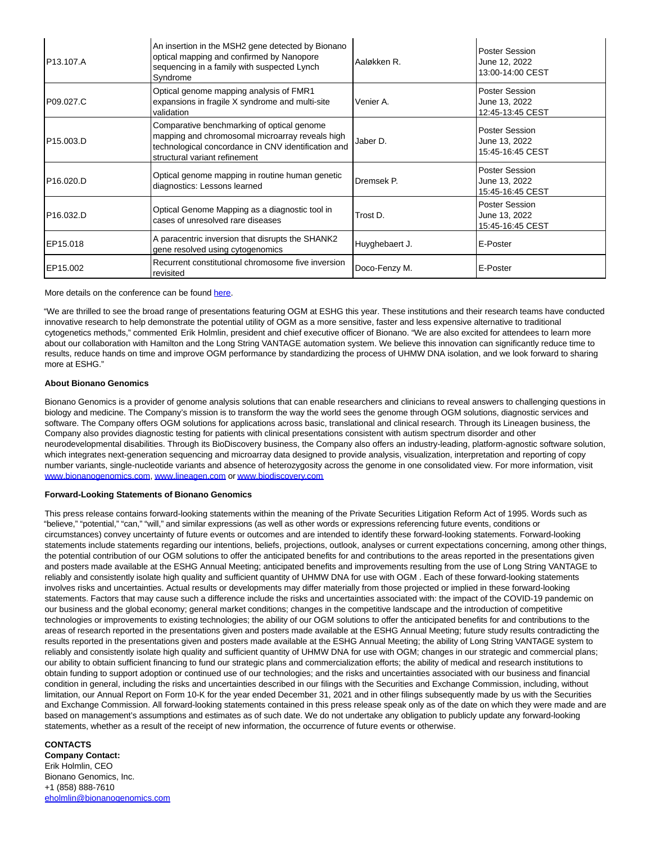| P13.107.A              | An insertion in the MSH2 gene detected by Bionano<br>optical mapping and confirmed by Nanopore<br>sequencing in a family with suspected Lynch<br>Syndrome                             | Aaløkken R.    | Poster Session<br>June 12, 2022<br>13:00-14:00 CEST |
|------------------------|---------------------------------------------------------------------------------------------------------------------------------------------------------------------------------------|----------------|-----------------------------------------------------|
| P09.027.C              | Optical genome mapping analysis of FMR1<br>expansions in fragile X syndrome and multi-site<br>validation                                                                              | Venier A.      | Poster Session<br>June 13, 2022<br>12:45-13:45 CEST |
| P <sub>15.003</sub> .D | Comparative benchmarking of optical genome<br>mapping and chromosomal microarray reveals high<br>technological concordance in CNV identification and<br>structural variant refinement | Jaber D.       | Poster Session<br>June 13, 2022<br>15:45-16:45 CEST |
| P <sub>16.020</sub> .D | Optical genome mapping in routine human genetic<br>diagnostics: Lessons learned                                                                                                       | Dremsek P.     | Poster Session<br>June 13, 2022<br>15:45-16:45 CEST |
| P <sub>16.032</sub> .D | Optical Genome Mapping as a diagnostic tool in<br>cases of unresolved rare diseases                                                                                                   | Trost D.       | Poster Session<br>June 13, 2022<br>15:45-16:45 CEST |
| EP15.018               | A paracentric inversion that disrupts the SHANK2<br>gene resolved using cytogenomics                                                                                                  | Huyghebaert J. | E-Poster                                            |
| EP15.002               | Recurrent constitutional chromosome five inversion<br>revisited                                                                                                                       | Doco-Fenzy M.  | E-Poster                                            |

More details on the conference can be found [here.](https://www.globenewswire.com/Tracker?data=5tPqLL4vDlrYkUjpiLM1E22_6K5i-qQEqyav3p3USIJyjNV05YvxMDPjYxtdB6GQ)

"We are thrilled to see the broad range of presentations featuring OGM at ESHG this year. These institutions and their research teams have conducted innovative research to help demonstrate the potential utility of OGM as a more sensitive, faster and less expensive alternative to traditional cytogenetics methods," commented Erik Holmlin, president and chief executive officer of Bionano. "We are also excited for attendees to learn more about our collaboration with Hamilton and the Long String VANTAGE automation system. We believe this innovation can significantly reduce time to results, reduce hands on time and improve OGM performance by standardizing the process of UHMW DNA isolation, and we look forward to sharing more at ESHG."

## **About Bionano Genomics**

Bionano Genomics is a provider of genome analysis solutions that can enable researchers and clinicians to reveal answers to challenging questions in biology and medicine. The Company's mission is to transform the way the world sees the genome through OGM solutions, diagnostic services and software. The Company offers OGM solutions for applications across basic, translational and clinical research. Through its Lineagen business, the Company also provides diagnostic testing for patients with clinical presentations consistent with autism spectrum disorder and other neurodevelopmental disabilities. Through its BioDiscovery business, the Company also offers an industry-leading, platform-agnostic software solution, which integrates next-generation sequencing and microarray data designed to provide analysis, visualization, interpretation and reporting of copy number variants, single-nucleotide variants and absence of heterozygosity across the genome in one consolidated view. For more information, visit [www.bionanogenomics.com,](https://www.globenewswire.com/Tracker?data=-0kAJ1HE2F9FCZVmmCWjDVr_kNAXsEQiAtvYj2OLXOIjSoZCAe3WaMJe6QPHgo45Pqlmo4RaoAGzRM3ZDYFzWGsVum6p26YDd4LXhNwTb-s=) [www.lineagen.com o](https://www.globenewswire.com/Tracker?data=AeT49h7xQJRzRLV_aFRewbqfZKNnou6XoQte0IM3SUFkwBt55fudMvffoCiIefNNYhBKPMPKiWbvhgwi53lTNQ==)[r www.biodiscovery.com](https://www.globenewswire.com/Tracker?data=-0kAJ1HE2F9FCZVmmCWjDWrs9KkGBCvcmwDi8F6WfeNBvAXOdxcoBK5rzFQtSxFlddFPLAAKtRpDUAmcqoRufLcEAgLkFdses0pDjX2aoGU=)

## **Forward-Looking Statements of Bionano Genomics**

This press release contains forward-looking statements within the meaning of the Private Securities Litigation Reform Act of 1995. Words such as "believe," "potential," "can," "will," and similar expressions (as well as other words or expressions referencing future events, conditions or circumstances) convey uncertainty of future events or outcomes and are intended to identify these forward-looking statements. Forward-looking statements include statements regarding our intentions, beliefs, projections, outlook, analyses or current expectations concerning, among other things, the potential contribution of our OGM solutions to offer the anticipated benefits for and contributions to the areas reported in the presentations given and posters made available at the ESHG Annual Meeting; anticipated benefits and improvements resulting from the use of Long String VANTAGE to reliably and consistently isolate high quality and sufficient quantity of UHMW DNA for use with OGM . Each of these forward-looking statements involves risks and uncertainties. Actual results or developments may differ materially from those projected or implied in these forward-looking statements. Factors that may cause such a difference include the risks and uncertainties associated with: the impact of the COVID-19 pandemic on our business and the global economy; general market conditions; changes in the competitive landscape and the introduction of competitive technologies or improvements to existing technologies; the ability of our OGM solutions to offer the anticipated benefits for and contributions to the areas of research reported in the presentations given and posters made available at the ESHG Annual Meeting; future study results contradicting the results reported in the presentations given and posters made available at the ESHG Annual Meeting; the ability of Long String VANTAGE system to reliably and consistently isolate high quality and sufficient quantity of UHMW DNA for use with OGM; changes in our strategic and commercial plans; our ability to obtain sufficient financing to fund our strategic plans and commercialization efforts; the ability of medical and research institutions to obtain funding to support adoption or continued use of our technologies; and the risks and uncertainties associated with our business and financial condition in general, including the risks and uncertainties described in our filings with the Securities and Exchange Commission, including, without limitation, our Annual Report on Form 10-K for the year ended December 31, 2021 and in other filings subsequently made by us with the Securities and Exchange Commission. All forward-looking statements contained in this press release speak only as of the date on which they were made and are based on management's assumptions and estimates as of such date. We do not undertake any obligation to publicly update any forward-looking statements, whether as a result of the receipt of new information, the occurrence of future events or otherwise.

## **CONTACTS**

**Company Contact:** Erik Holmlin, CEO Bionano Genomics, Inc. +1 (858) 888-7610 [eholmlin@bionanogenomics.com](https://www.globenewswire.com/Tracker?data=1DD4NerB7mojTfTkgRZzgYSa7yXmhEY22MFDzhWoVrdEiBdsU-W2ZnKd3HxXjIItVOnDoH8hcdtsgtYH6Z1v005K2Wwd1x3RzR7CUFDPCV5GYaf3_uspRkdmvE8A9dTD)